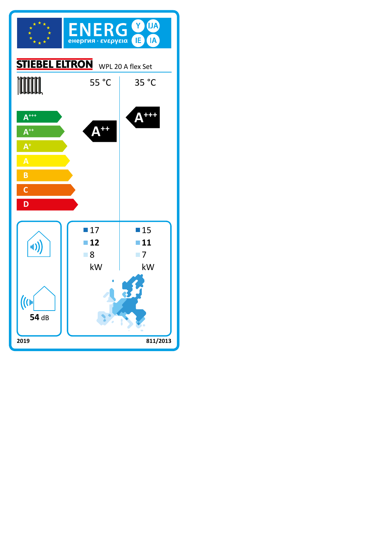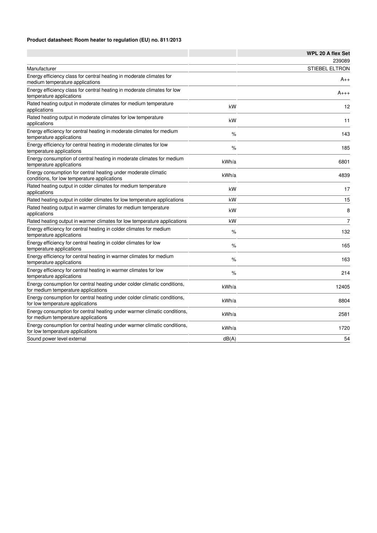## **Product datasheet: Room heater to regulation (EU) no. 811/2013**

|                                                                                                                 |       | <b>WPL 20 A flex Set</b> |
|-----------------------------------------------------------------------------------------------------------------|-------|--------------------------|
|                                                                                                                 |       | 239089                   |
| Manufacturer                                                                                                    |       | <b>STIEBEL ELTRON</b>    |
| Energy efficiency class for central heating in moderate climates for<br>medium temperature applications         |       | $A_{++}$                 |
| Energy efficiency class for central heating in moderate climates for low<br>temperature applications            |       | $A_{+++}$                |
| Rated heating output in moderate climates for medium temperature<br>applications                                | kW    | 12                       |
| Rated heating output in moderate climates for low temperature<br>applications                                   | kW    | 11                       |
| Energy efficiency for central heating in moderate climates for medium<br>temperature applications               | $\%$  | 143                      |
| Energy efficiency for central heating in moderate climates for low<br>temperature applications                  | $\%$  | 185                      |
| Energy consumption of central heating in moderate climates for medium<br>temperature applications               | kWh/a | 6801                     |
| Energy consumption for central heating under moderate climatic<br>conditions, for low temperature applications  | kWh/a | 4839                     |
| Rated heating output in colder climates for medium temperature<br>applications                                  | kW    | 17                       |
| Rated heating output in colder climates for low temperature applications                                        | kW    | 15                       |
| Rated heating output in warmer climates for medium temperature<br>applications                                  | kW    | 8                        |
| Rated heating output in warmer climates for low temperature applications                                        | kW    | $\overline{7}$           |
| Energy efficiency for central heating in colder climates for medium<br>temperature applications                 | $\%$  | 132                      |
| Energy efficiency for central heating in colder climates for low<br>temperature applications                    | $\%$  | 165                      |
| Energy efficiency for central heating in warmer climates for medium<br>temperature applications                 | $\%$  | 163                      |
| Energy efficiency for central heating in warmer climates for low<br>temperature applications                    | $\%$  | 214                      |
| Energy consumption for central heating under colder climatic conditions,<br>for medium temperature applications | kWh/a | 12405                    |
| Energy consumption for central heating under colder climatic conditions,<br>for low temperature applications    | kWh/a | 8804                     |
| Energy consumption for central heating under warmer climatic conditions,<br>for medium temperature applications | kWh/a | 2581                     |
| Energy consumption for central heating under warmer climatic conditions,<br>for low temperature applications    | kWh/a | 1720                     |
| Sound power level external                                                                                      | dB(A) | 54                       |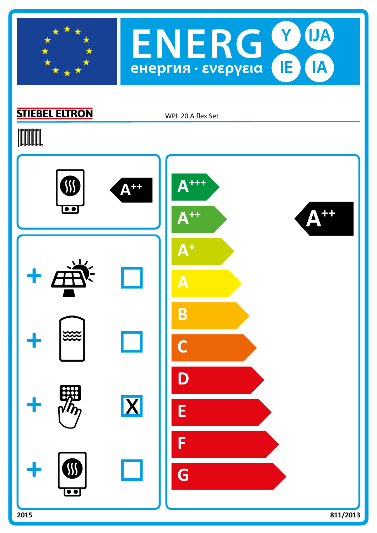



## **STIEBEL ELTRON**

WPL 20 A flex Set

## **TOOTAL**

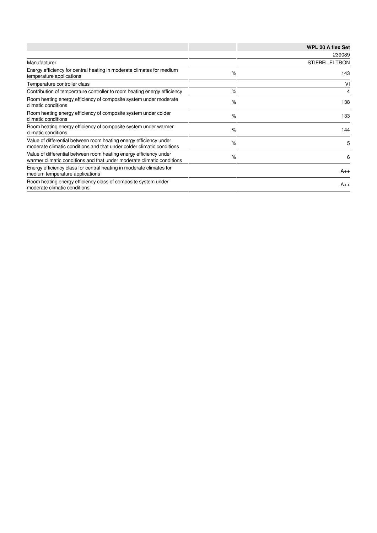|                                                                                                                                              |      | <b>WPL 20 A flex Set</b> |
|----------------------------------------------------------------------------------------------------------------------------------------------|------|--------------------------|
|                                                                                                                                              |      | 239089                   |
| Manufacturer                                                                                                                                 |      | <b>STIEBEL ELTRON</b>    |
| Energy efficiency for central heating in moderate climates for medium<br>temperature applications                                            | $\%$ | 143                      |
| Temperature controller class                                                                                                                 |      | VI                       |
| Contribution of temperature controller to room heating energy efficiency                                                                     | $\%$ | 4                        |
| Room heating energy efficiency of composite system under moderate<br>climatic conditions                                                     | $\%$ | 138                      |
| Room heating energy efficiency of composite system under colder<br>climatic conditions                                                       | $\%$ | 133                      |
| Room heating energy efficiency of composite system under warmer<br>climatic conditions                                                       | $\%$ | 144                      |
| Value of differential between room heating energy efficiency under<br>moderate climatic conditions and that under colder climatic conditions | $\%$ | 5                        |
| Value of differential between room heating energy efficiency under<br>warmer climatic conditions and that under moderate climatic conditions | $\%$ | 6                        |
| Energy efficiency class for central heating in moderate climates for<br>medium temperature applications                                      |      | $A_{++}$                 |
| Room heating energy efficiency class of composite system under<br>moderate climatic conditions                                               |      | $A_{++}$                 |